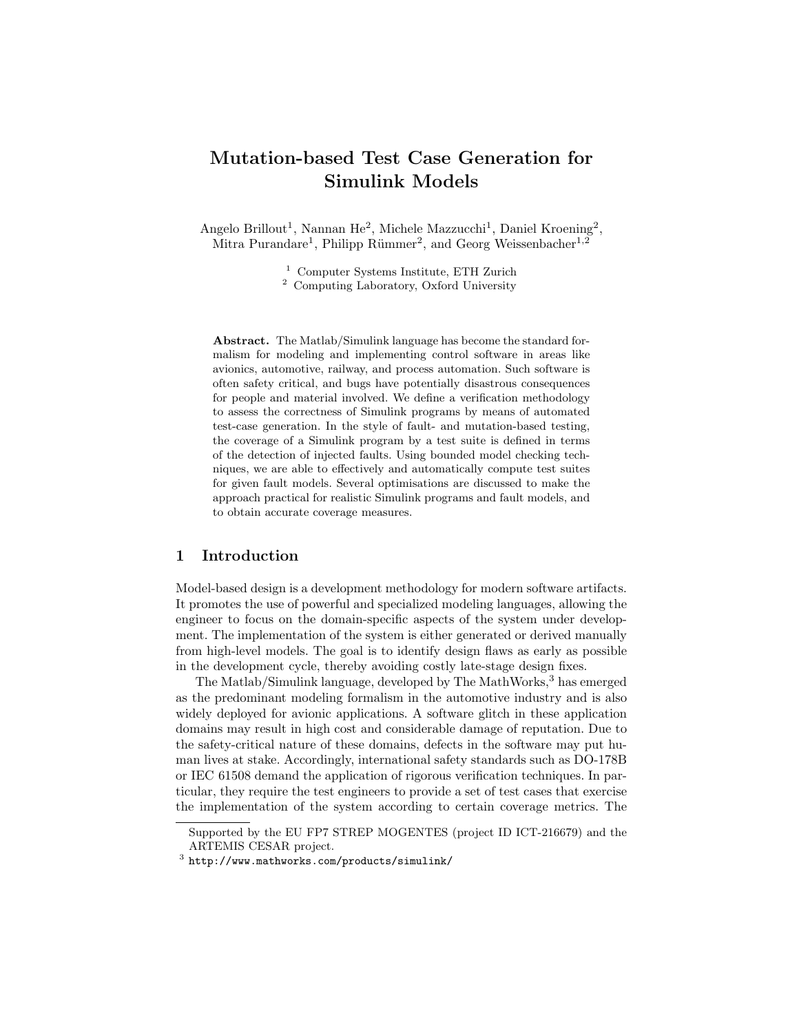# Mutation-based Test Case Generation for Simulink Models

Angelo Brillout<sup>1</sup>, Nannan He<sup>2</sup>, Michele Mazzucchi<sup>1</sup>, Daniel Kroening<sup>2</sup>, Mitra Purandare<sup>1</sup>, Philipp Rümmer<sup>2</sup>, and Georg Weissenbacher<sup>1,2</sup>

<sup>1</sup> Computer Systems Institute, ETH Zurich

<sup>2</sup> Computing Laboratory, Oxford University

Abstract. The Matlab/Simulink language has become the standard formalism for modeling and implementing control software in areas like avionics, automotive, railway, and process automation. Such software is often safety critical, and bugs have potentially disastrous consequences for people and material involved. We define a verification methodology to assess the correctness of Simulink programs by means of automated test-case generation. In the style of fault- and mutation-based testing, the coverage of a Simulink program by a test suite is defined in terms of the detection of injected faults. Using bounded model checking techniques, we are able to effectively and automatically compute test suites for given fault models. Several optimisations are discussed to make the approach practical for realistic Simulink programs and fault models, and to obtain accurate coverage measures.

## 1 Introduction

Model-based design is a development methodology for modern software artifacts. It promotes the use of powerful and specialized modeling languages, allowing the engineer to focus on the domain-specific aspects of the system under development. The implementation of the system is either generated or derived manually from high-level models. The goal is to identify design flaws as early as possible in the development cycle, thereby avoiding costly late-stage design fixes.

The Matlab/Simulink language, developed by The MathWorks,<sup>3</sup> has emerged as the predominant modeling formalism in the automotive industry and is also widely deployed for avionic applications. A software glitch in these application domains may result in high cost and considerable damage of reputation. Due to the safety-critical nature of these domains, defects in the software may put human lives at stake. Accordingly, international safety standards such as DO-178B or IEC 61508 demand the application of rigorous verification techniques. In particular, they require the test engineers to provide a set of test cases that exercise the implementation of the system according to certain coverage metrics. The

Supported by the EU FP7 STREP MOGENTES (project ID ICT-216679) and the ARTEMIS CESAR project.

<sup>3</sup> http://www.mathworks.com/products/simulink/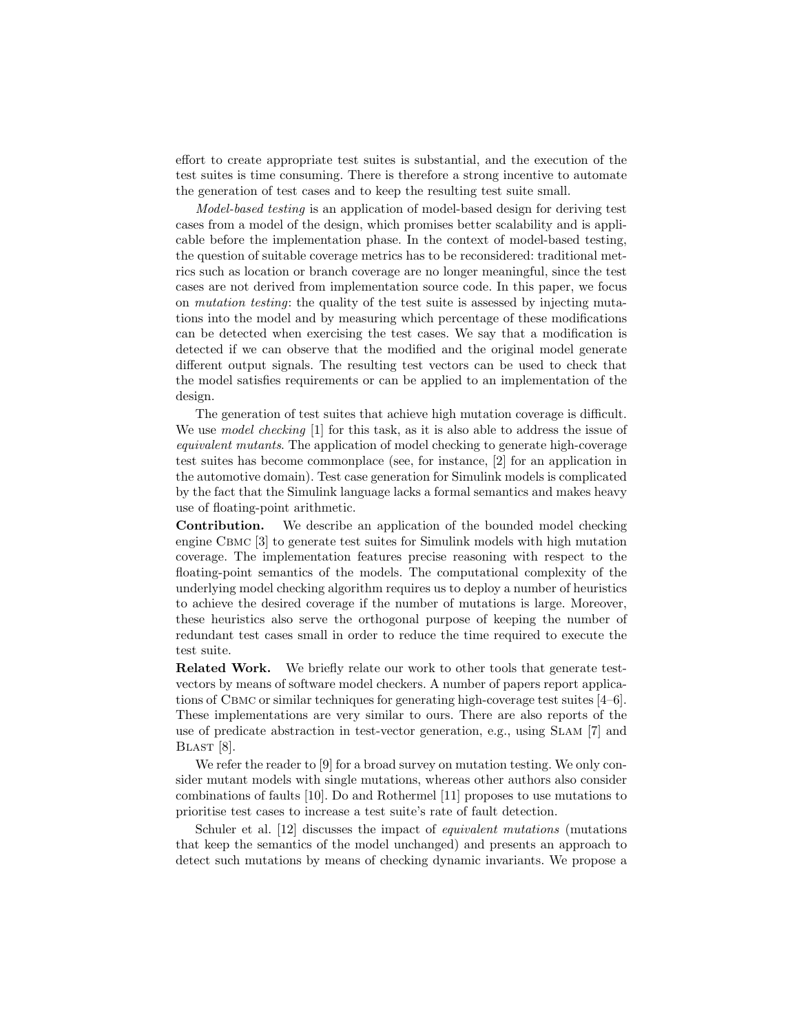effort to create appropriate test suites is substantial, and the execution of the test suites is time consuming. There is therefore a strong incentive to automate the generation of test cases and to keep the resulting test suite small.

Model-based testing is an application of model-based design for deriving test cases from a model of the design, which promises better scalability and is applicable before the implementation phase. In the context of model-based testing, the question of suitable coverage metrics has to be reconsidered: traditional metrics such as location or branch coverage are no longer meaningful, since the test cases are not derived from implementation source code. In this paper, we focus on mutation testing: the quality of the test suite is assessed by injecting mutations into the model and by measuring which percentage of these modifications can be detected when exercising the test cases. We say that a modification is detected if we can observe that the modified and the original model generate different output signals. The resulting test vectors can be used to check that the model satisfies requirements or can be applied to an implementation of the design.

The generation of test suites that achieve high mutation coverage is difficult. We use *model checking* [1] for this task, as it is also able to address the issue of equivalent mutants. The application of model checking to generate high-coverage test suites has become commonplace (see, for instance, [2] for an application in the automotive domain). Test case generation for Simulink models is complicated by the fact that the Simulink language lacks a formal semantics and makes heavy use of floating-point arithmetic.

Contribution. We describe an application of the bounded model checking engine CBMC [3] to generate test suites for Simulink models with high mutation coverage. The implementation features precise reasoning with respect to the floating-point semantics of the models. The computational complexity of the underlying model checking algorithm requires us to deploy a number of heuristics to achieve the desired coverage if the number of mutations is large. Moreover, these heuristics also serve the orthogonal purpose of keeping the number of redundant test cases small in order to reduce the time required to execute the test suite.

Related Work. We briefly relate our work to other tools that generate testvectors by means of software model checkers. A number of papers report applications of Cbmc or similar techniques for generating high-coverage test suites [4–6]. These implementations are very similar to ours. There are also reports of the use of predicate abstraction in test-vector generation, e.g., using Slam [7] and BLAST [8].

We refer the reader to [9] for a broad survey on mutation testing. We only consider mutant models with single mutations, whereas other authors also consider combinations of faults [10]. Do and Rothermel [11] proposes to use mutations to prioritise test cases to increase a test suite's rate of fault detection.

Schuler et al. [12] discusses the impact of equivalent mutations (mutations that keep the semantics of the model unchanged) and presents an approach to detect such mutations by means of checking dynamic invariants. We propose a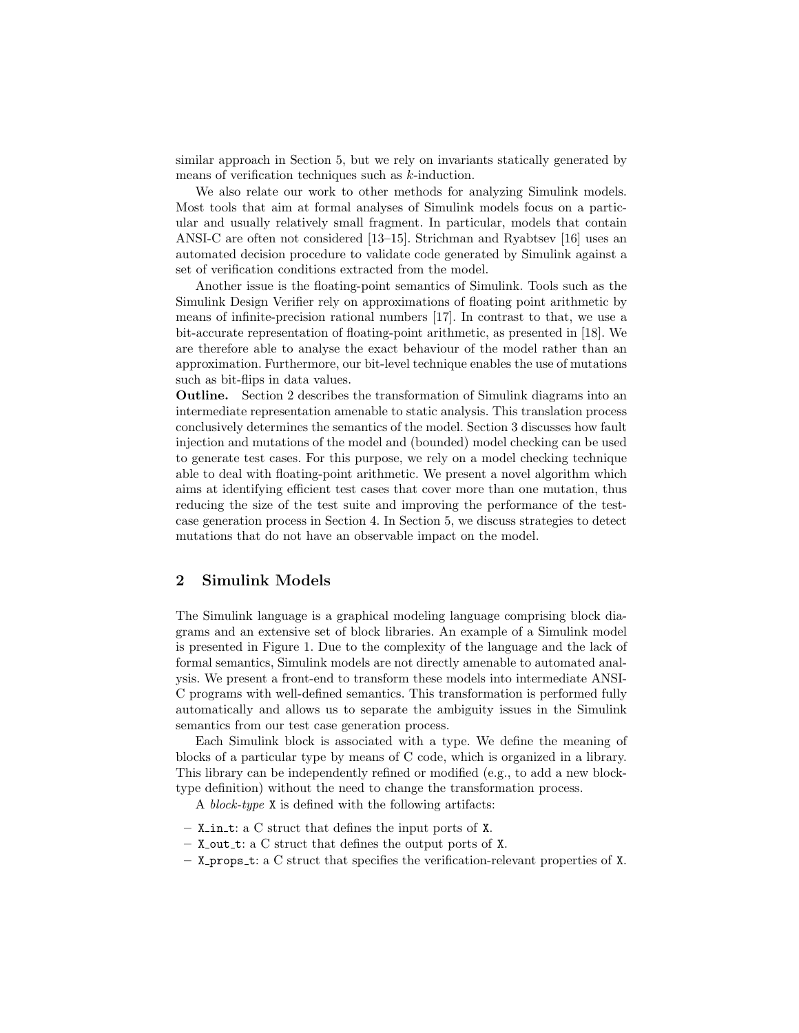similar approach in Section 5, but we rely on invariants statically generated by means of verification techniques such as k-induction.

We also relate our work to other methods for analyzing Simulink models. Most tools that aim at formal analyses of Simulink models focus on a particular and usually relatively small fragment. In particular, models that contain ANSI-C are often not considered [13–15]. Strichman and Ryabtsev [16] uses an automated decision procedure to validate code generated by Simulink against a set of verification conditions extracted from the model.

Another issue is the floating-point semantics of Simulink. Tools such as the Simulink Design Verifier rely on approximations of floating point arithmetic by means of infinite-precision rational numbers [17]. In contrast to that, we use a bit-accurate representation of floating-point arithmetic, as presented in [18]. We are therefore able to analyse the exact behaviour of the model rather than an approximation. Furthermore, our bit-level technique enables the use of mutations such as bit-flips in data values.

Outline. Section 2 describes the transformation of Simulink diagrams into an intermediate representation amenable to static analysis. This translation process conclusively determines the semantics of the model. Section 3 discusses how fault injection and mutations of the model and (bounded) model checking can be used to generate test cases. For this purpose, we rely on a model checking technique able to deal with floating-point arithmetic. We present a novel algorithm which aims at identifying efficient test cases that cover more than one mutation, thus reducing the size of the test suite and improving the performance of the testcase generation process in Section 4. In Section 5, we discuss strategies to detect mutations that do not have an observable impact on the model.

# 2 Simulink Models

The Simulink language is a graphical modeling language comprising block diagrams and an extensive set of block libraries. An example of a Simulink model is presented in Figure 1. Due to the complexity of the language and the lack of formal semantics, Simulink models are not directly amenable to automated analysis. We present a front-end to transform these models into intermediate ANSI-C programs with well-defined semantics. This transformation is performed fully automatically and allows us to separate the ambiguity issues in the Simulink semantics from our test case generation process.

Each Simulink block is associated with a type. We define the meaning of blocks of a particular type by means of C code, which is organized in a library. This library can be independently refined or modified (e.g., to add a new blocktype definition) without the need to change the transformation process.

A block-type X is defined with the following artifacts:

- $-$  X<sub>in</sub>t: a C struct that defines the input ports of X.
- $-$  X\_out\_t: a C struct that defines the output ports of X.
- $-$  X-props  $\pm$ : a C struct that specifies the verification-relevant properties of X.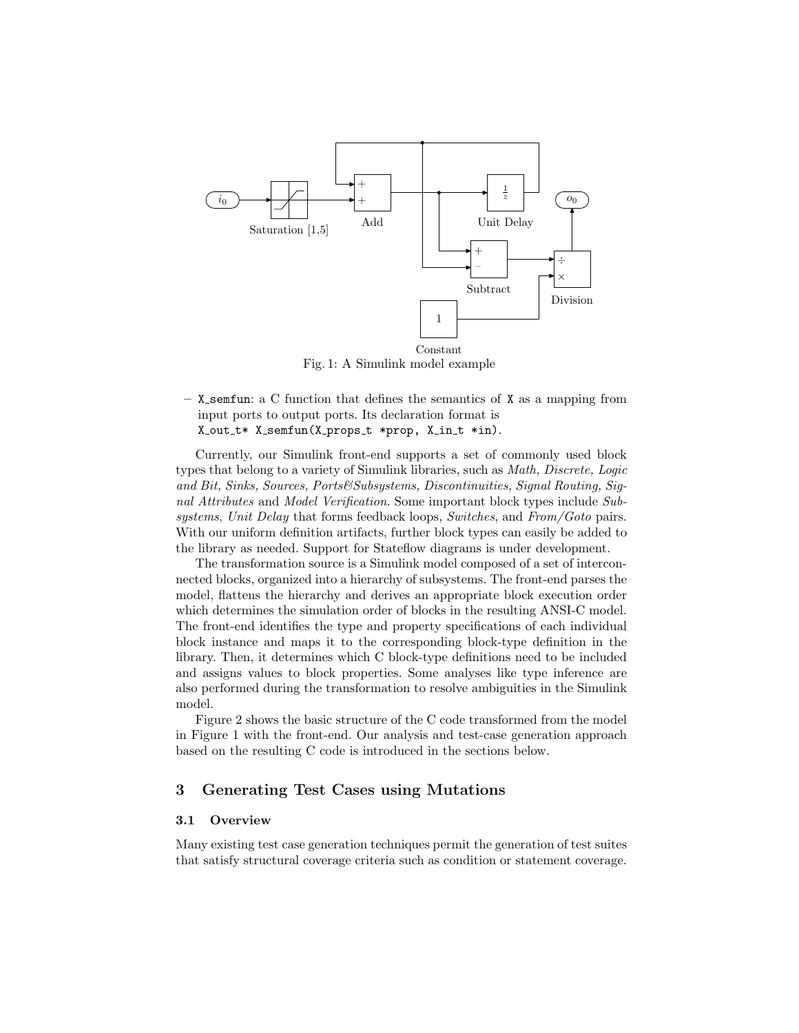

Fig. 1: A Simulink model example

– X semfun: a C function that defines the semantics of X as a mapping from input ports to output ports. Its declaration format is X out t\* X semfun(X props t \*prop, X in t \*in).

Currently, our Simulink front-end supports a set of commonly used block types that belong to a variety of Simulink libraries, such as Math, Discrete, Logic and Bit, Sinks, Sources, Ports&Subsystems, Discontinuities, Signal Routing, Signal Attributes and Model Verification. Some important block types include Subsystems, Unit Delay that forms feedback loops, Switches, and From/Goto pairs. With our uniform definition artifacts, further block types can easily be added to the library as needed. Support for Stateflow diagrams is under development.

The transformation source is a Simulink model composed of a set of interconnected blocks, organized into a hierarchy of subsystems. The front-end parses the model, flattens the hierarchy and derives an appropriate block execution order which determines the simulation order of blocks in the resulting ANSI-C model. The front-end identifies the type and property specifications of each individual block instance and maps it to the corresponding block-type definition in the library. Then, it determines which C block-type definitions need to be included and assigns values to block properties. Some analyses like type inference are also performed during the transformation to resolve ambiguities in the Simulink model.

Figure 2 shows the basic structure of the C code transformed from the model in Figure 1 with the front-end. Our analysis and test-case generation approach based on the resulting C code is introduced in the sections below.

# 3 Generating Test Cases using Mutations

### 3.1 Overview

Many existing test case generation techniques permit the generation of test suites that satisfy structural coverage criteria such as condition or statement coverage.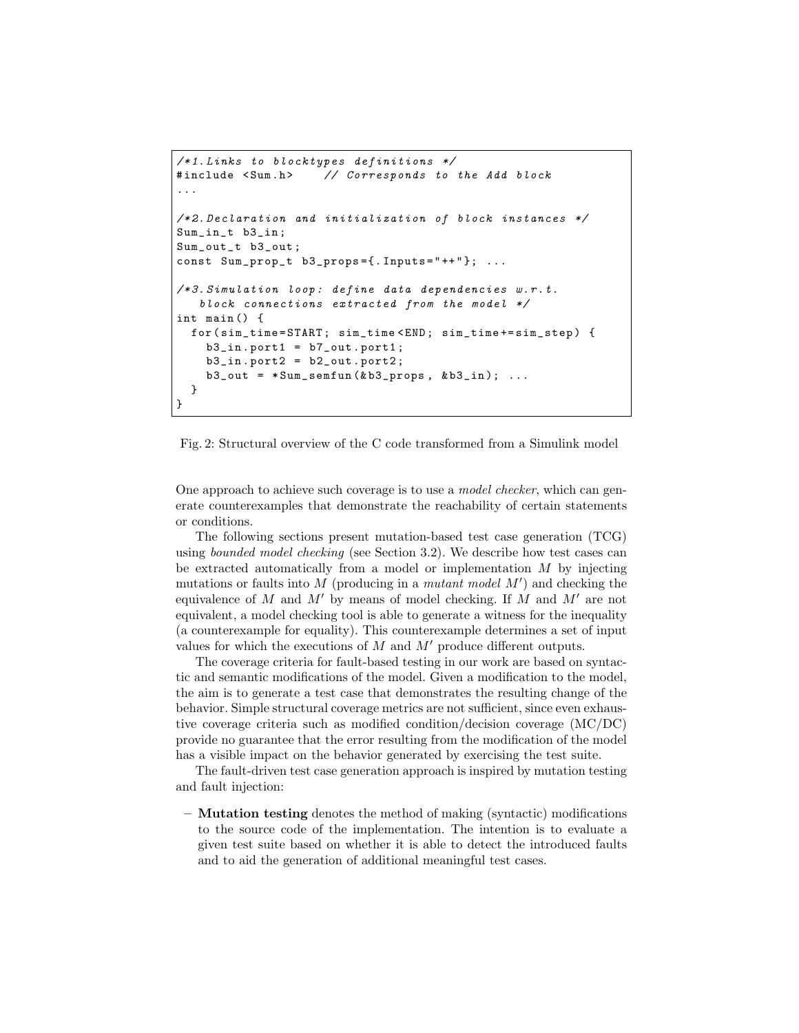```
/* 1. Links to blocktypes definitions */
#include <Sum.h> // Corresponds to the Add block
...
/* 2. Declaration and initialization of block instances */
Sum_in_t b3_in ;
Sum_out_t b3_out ;
const Sum\_prop_t b3_props = {. Inputs = "++"}; ...
/* 3. Simulation loop: define data dependencies w.r.t.block connections extracted from the model */
int main () {
  for ( sim_time = START ; sim_time < END ; sim_time += sim_step ) {
    b3<sub>-</sub>in . port1 = b7<sub>-</sub>out . port1;
    b3_in.port2 = b2_out.port2;
    b3_out = *Sum_semfun (kb3_props, kb3_in); ...}
}
```
Fig. 2: Structural overview of the C code transformed from a Simulink model

One approach to achieve such coverage is to use a model checker, which can generate counterexamples that demonstrate the reachability of certain statements or conditions.

The following sections present mutation-based test case generation (TCG) using bounded model checking (see Section 3.2). We describe how test cases can be extracted automatically from a model or implementation  $M$  by injecting mutations or faults into  $M$  (producing in a *mutant model M'*) and checking the equivalence of M and  $M'$  by means of model checking. If M and  $M'$  are not equivalent, a model checking tool is able to generate a witness for the inequality (a counterexample for equality). This counterexample determines a set of input values for which the executions of  $M$  and  $M'$  produce different outputs.

The coverage criteria for fault-based testing in our work are based on syntactic and semantic modifications of the model. Given a modification to the model, the aim is to generate a test case that demonstrates the resulting change of the behavior. Simple structural coverage metrics are not sufficient, since even exhaustive coverage criteria such as modified condition/decision coverage (MC/DC) provide no guarantee that the error resulting from the modification of the model has a visible impact on the behavior generated by exercising the test suite.

The fault-driven test case generation approach is inspired by mutation testing and fault injection:

– Mutation testing denotes the method of making (syntactic) modifications to the source code of the implementation. The intention is to evaluate a given test suite based on whether it is able to detect the introduced faults and to aid the generation of additional meaningful test cases.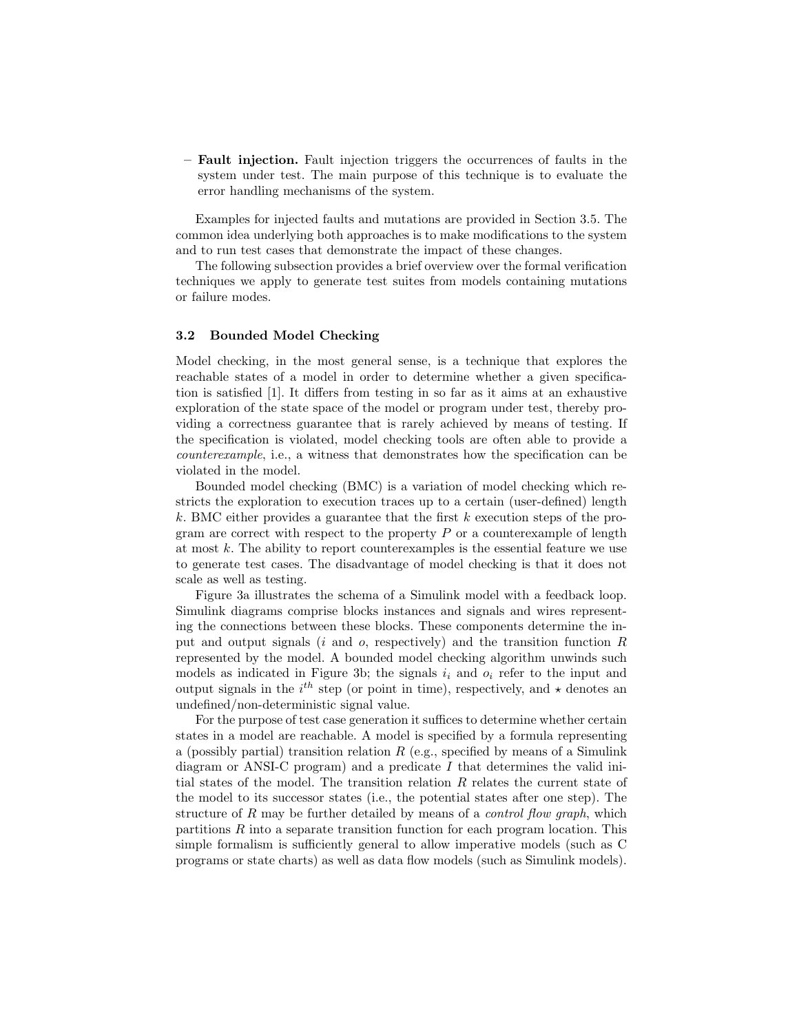– Fault injection. Fault injection triggers the occurrences of faults in the system under test. The main purpose of this technique is to evaluate the error handling mechanisms of the system.

Examples for injected faults and mutations are provided in Section 3.5. The common idea underlying both approaches is to make modifications to the system and to run test cases that demonstrate the impact of these changes.

The following subsection provides a brief overview over the formal verification techniques we apply to generate test suites from models containing mutations or failure modes.

### 3.2 Bounded Model Checking

Model checking, in the most general sense, is a technique that explores the reachable states of a model in order to determine whether a given specification is satisfied [1]. It differs from testing in so far as it aims at an exhaustive exploration of the state space of the model or program under test, thereby providing a correctness guarantee that is rarely achieved by means of testing. If the specification is violated, model checking tools are often able to provide a counterexample, i.e., a witness that demonstrates how the specification can be violated in the model.

Bounded model checking (BMC) is a variation of model checking which restricts the exploration to execution traces up to a certain (user-defined) length  $k$ . BMC either provides a guarantee that the first  $k$  execution steps of the program are correct with respect to the property  $P$  or a counterexample of length at most  $k$ . The ability to report counterexamples is the essential feature we use to generate test cases. The disadvantage of model checking is that it does not scale as well as testing.

Figure 3a illustrates the schema of a Simulink model with a feedback loop. Simulink diagrams comprise blocks instances and signals and wires representing the connections between these blocks. These components determine the input and output signals (i and  $o$ , respectively) and the transition function  $R$ represented by the model. A bounded model checking algorithm unwinds such models as indicated in Figure 3b; the signals  $i_i$  and  $o_i$  refer to the input and output signals in the  $i^{th}$  step (or point in time), respectively, and  $\star$  denotes an undefined/non-deterministic signal value.

For the purpose of test case generation it suffices to determine whether certain states in a model are reachable. A model is specified by a formula representing a (possibly partial) transition relation  $R$  (e.g., specified by means of a Simulink diagram or ANSI-C program) and a predicate  $I$  that determines the valid initial states of the model. The transition relation  $R$  relates the current state of the model to its successor states (i.e., the potential states after one step). The structure of R may be further detailed by means of a *control flow graph*, which partitions R into a separate transition function for each program location. This simple formalism is sufficiently general to allow imperative models (such as C programs or state charts) as well as data flow models (such as Simulink models).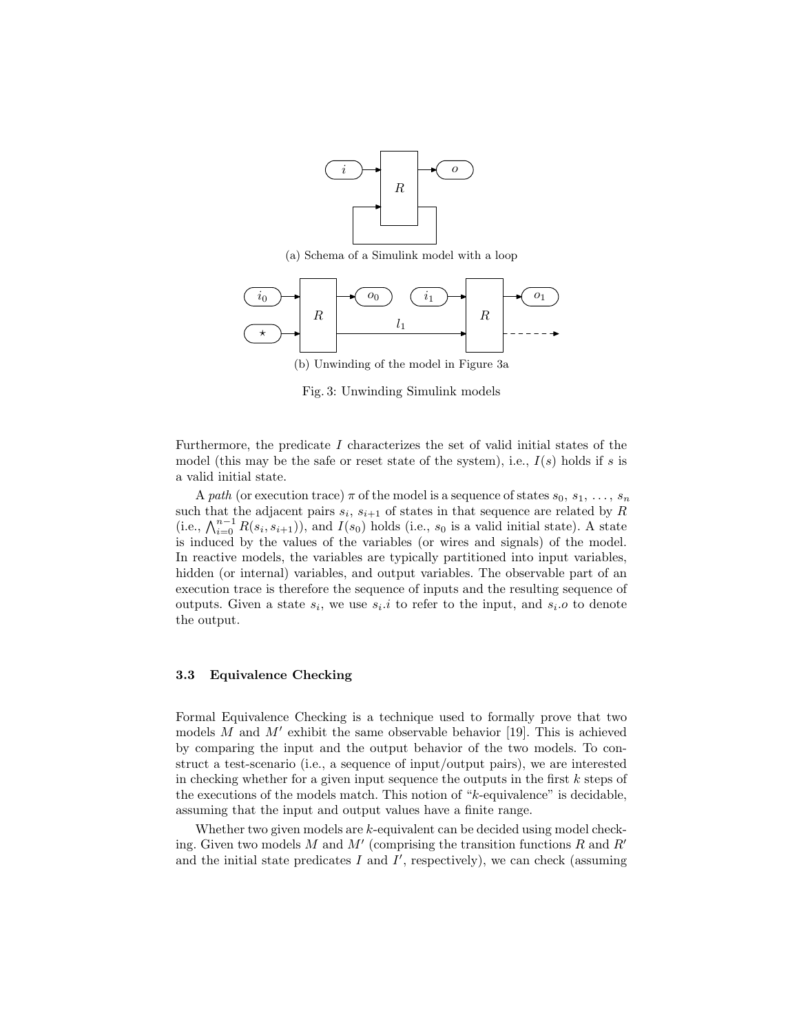

(a) Schema of a Simulink model with a loop



Fig. 3: Unwinding Simulink models

Furthermore, the predicate I characterizes the set of valid initial states of the model (this may be the safe or reset state of the system), i.e.,  $I(s)$  holds if s is a valid initial state.

A path (or execution trace)  $\pi$  of the model is a sequence of states  $s_0, s_1, \ldots, s_n$ such that the adjacent pairs  $s_i$ ,  $s_{i+1}$  of states in that sequence are related by R (i.e.,  $\bigwedge_{i=0}^{n-1} R(s_i, s_{i+1})\big)$ , and  $I(s_0)$  holds (i.e.,  $s_0$  is a valid initial state). A state is induced by the values of the variables (or wires and signals) of the model. In reactive models, the variables are typically partitioned into input variables, hidden (or internal) variables, and output variables. The observable part of an execution trace is therefore the sequence of inputs and the resulting sequence of outputs. Given a state  $s_i$ , we use  $s_i.i$  to refer to the input, and  $s_i.o$  to denote the output.

### 3.3 Equivalence Checking

Formal Equivalence Checking is a technique used to formally prove that two models  $M$  and  $M'$  exhibit the same observable behavior [19]. This is achieved by comparing the input and the output behavior of the two models. To construct a test-scenario (i.e., a sequence of input/output pairs), we are interested in checking whether for a given input sequence the outputs in the first  $k$  steps of the executions of the models match. This notion of "k-equivalence" is decidable, assuming that the input and output values have a finite range.

Whether two given models are k-equivalent can be decided using model checking. Given two models M and  $M'$  (comprising the transition functions R and R' and the initial state predicates  $I$  and  $I'$ , respectively), we can check (assuming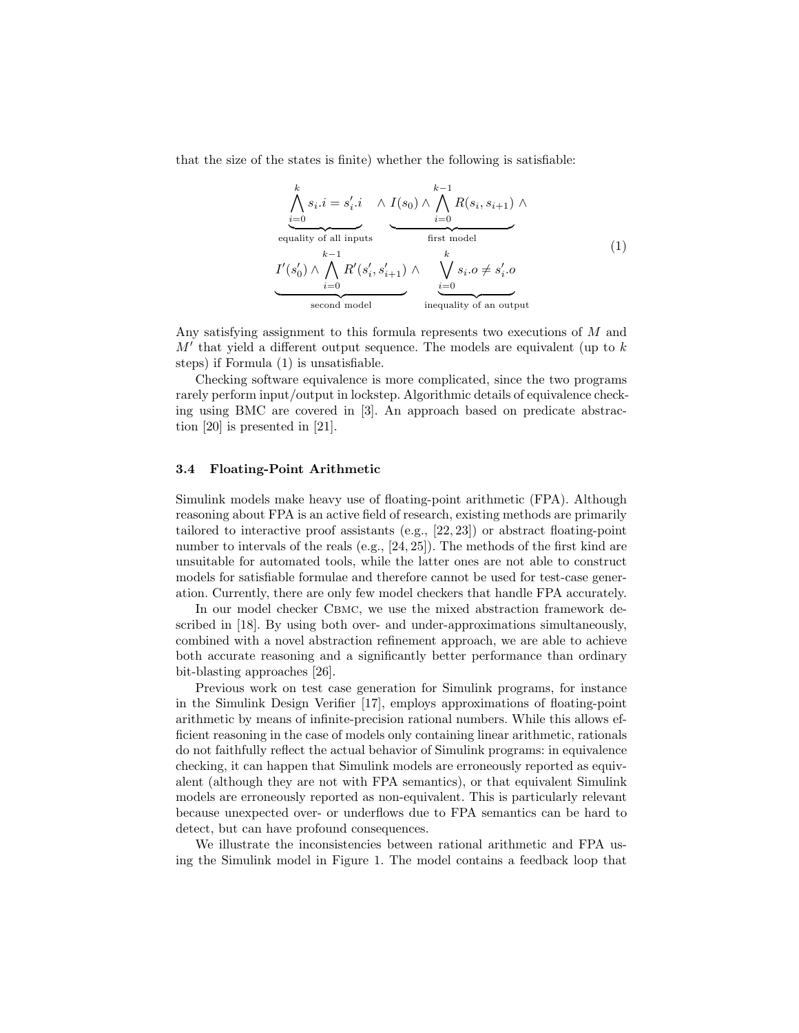that the size of the states is finite) whether the following is satisfiable:

^ k i=0 si .i = s 0 i .i | {z } equality of all inputs ∧ I(s0) ∧ k ^−1 i=0 R(s<sup>i</sup> , si+1) | {z } first model ∧ I 0 (s 0 0 ) ∧ k ^−1 i=0 R 0 (s 0 i , s0 <sup>i</sup>+1) | {z } second model ∧ \_ k i=0 si .o 6= s 0 i .o | {z } inequality of an output (1)

Any satisfying assignment to this formula represents two executions of M and  $M'$  that yield a different output sequence. The models are equivalent (up to  $k$ steps) if Formula (1) is unsatisfiable.

Checking software equivalence is more complicated, since the two programs rarely perform input/output in lockstep. Algorithmic details of equivalence checking using BMC are covered in [3]. An approach based on predicate abstraction [20] is presented in [21].

### 3.4 Floating-Point Arithmetic

Simulink models make heavy use of floating-point arithmetic (FPA). Although reasoning about FPA is an active field of research, existing methods are primarily tailored to interactive proof assistants (e.g., [22, 23]) or abstract floating-point number to intervals of the reals (e.g., [24, 25]). The methods of the first kind are unsuitable for automated tools, while the latter ones are not able to construct models for satisfiable formulae and therefore cannot be used for test-case generation. Currently, there are only few model checkers that handle FPA accurately.

In our model checker CBMC, we use the mixed abstraction framework described in [18]. By using both over- and under-approximations simultaneously, combined with a novel abstraction refinement approach, we are able to achieve both accurate reasoning and a significantly better performance than ordinary bit-blasting approaches [26].

Previous work on test case generation for Simulink programs, for instance in the Simulink Design Verifier [17], employs approximations of floating-point arithmetic by means of infinite-precision rational numbers. While this allows efficient reasoning in the case of models only containing linear arithmetic, rationals do not faithfully reflect the actual behavior of Simulink programs: in equivalence checking, it can happen that Simulink models are erroneously reported as equivalent (although they are not with FPA semantics), or that equivalent Simulink models are erroneously reported as non-equivalent. This is particularly relevant because unexpected over- or underflows due to FPA semantics can be hard to detect, but can have profound consequences.

We illustrate the inconsistencies between rational arithmetic and FPA using the Simulink model in Figure 1. The model contains a feedback loop that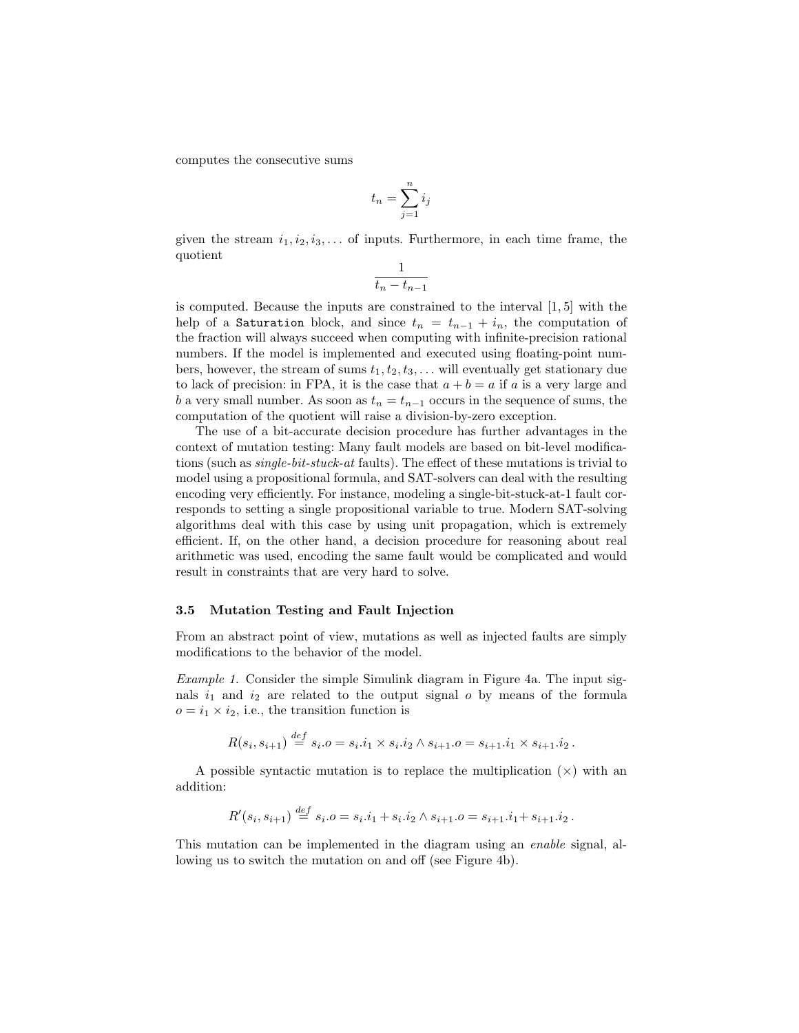computes the consecutive sums

$$
t_n = \sum_{j=1}^n i_j
$$

given the stream  $i_1, i_2, i_3, \ldots$  of inputs. Furthermore, in each time frame, the quotient

$$
\frac{1}{t_n - t_{n-1}}
$$

is computed. Because the inputs are constrained to the interval [1, 5] with the help of a Saturation block, and since  $t_n = t_{n-1} + i_n$ , the computation of the fraction will always succeed when computing with infinite-precision rational numbers. If the model is implemented and executed using floating-point numbers, however, the stream of sums  $t_1, t_2, t_3, \ldots$  will eventually get stationary due to lack of precision: in FPA, it is the case that  $a + b = a$  if a is a very large and b a very small number. As soon as  $t_n = t_{n-1}$  occurs in the sequence of sums, the computation of the quotient will raise a division-by-zero exception.

The use of a bit-accurate decision procedure has further advantages in the context of mutation testing: Many fault models are based on bit-level modifications (such as single-bit-stuck-at faults). The effect of these mutations is trivial to model using a propositional formula, and SAT-solvers can deal with the resulting encoding very efficiently. For instance, modeling a single-bit-stuck-at-1 fault corresponds to setting a single propositional variable to true. Modern SAT-solving algorithms deal with this case by using unit propagation, which is extremely efficient. If, on the other hand, a decision procedure for reasoning about real arithmetic was used, encoding the same fault would be complicated and would result in constraints that are very hard to solve.

#### 3.5 Mutation Testing and Fault Injection

From an abstract point of view, mutations as well as injected faults are simply modifications to the behavior of the model.

Example 1. Consider the simple Simulink diagram in Figure 4a. The input signals  $i_1$  and  $i_2$  are related to the output signal  $o$  by means of the formula  $o = i_1 \times i_2$ , i.e., the transition function is

$$
R(s_i, s_{i+1}) \stackrel{def}{=} s_i.o = s_i.i_1 \times s_i.i_2 \wedge s_{i+1}.o = s_{i+1}.i_1 \times s_{i+1}.i_2.
$$

A possible syntactic mutation is to replace the multiplication  $(\times)$  with an addition:

$$
R'(s_i, s_{i+1}) \stackrel{def}{=} s_i.o = s_i.i_1 + s_i.i_2 \wedge s_{i+1}.o = s_{i+1}.i_1 + s_{i+1}.i_2.
$$

This mutation can be implemented in the diagram using an enable signal, allowing us to switch the mutation on and off (see Figure 4b).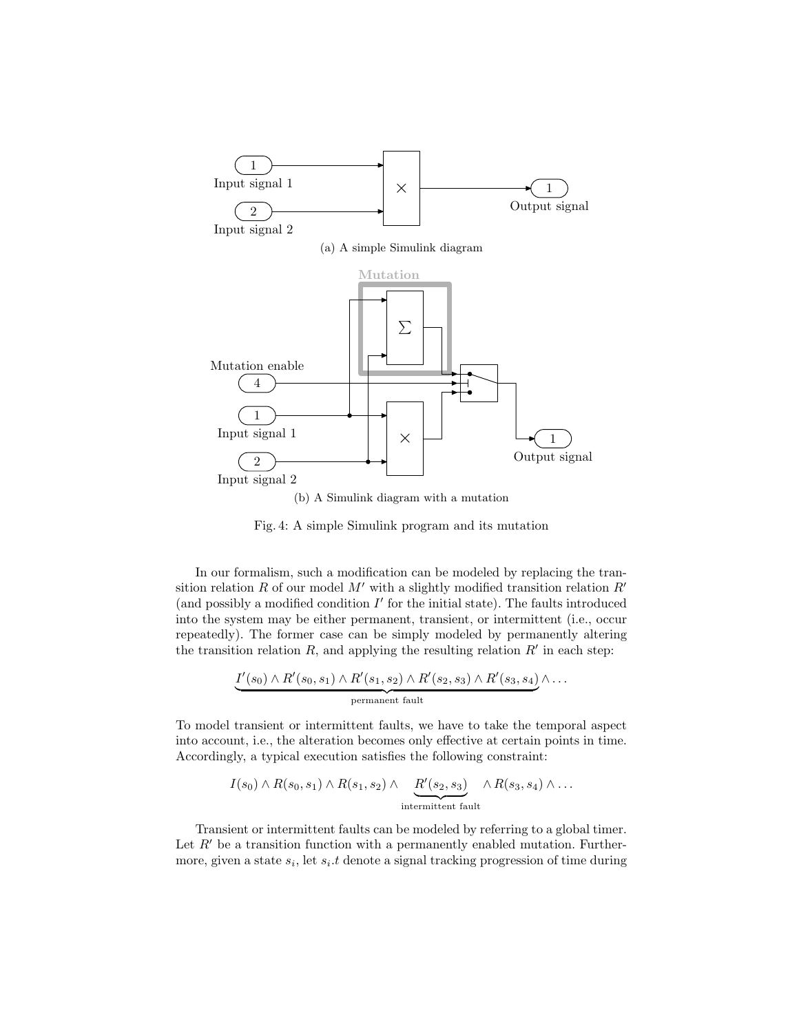

(b) A Simulink diagram with a mutation

Fig. 4: A simple Simulink program and its mutation

In our formalism, such a modification can be modeled by replacing the transition relation R of our model M' with a slightly modified transition relation  $R'$ (and possibly a modified condition  $I'$  for the initial state). The faults introduced into the system may be either permanent, transient, or intermittent (i.e., occur repeatedly). The former case can be simply modeled by permanently altering the transition relation  $R$ , and applying the resulting relation  $R'$  in each step:

$$
\underbrace{I'(s_0) \wedge R'(s_0,s_1) \wedge R'(s_1,s_2) \wedge R'(s_2,s_3) \wedge R'(s_3,s_4)}_{\text{permanent fault}} \wedge \dots
$$

To model transient or intermittent faults, we have to take the temporal aspect into account, i.e., the alteration becomes only effective at certain points in time. Accordingly, a typical execution satisfies the following constraint:

$$
I(s_0) \wedge R(s_0,s_1) \wedge R(s_1,s_2) \wedge \underbrace{R'(s_2,s_3)}_{\text{intermittent fault}} \wedge R(s_3,s_4) \wedge \ldots
$$

Transient or intermittent faults can be modeled by referring to a global timer. Let  $R'$  be a transition function with a permanently enabled mutation. Furthermore, given a state  $s_i$ , let  $s_i.t$  denote a signal tracking progression of time during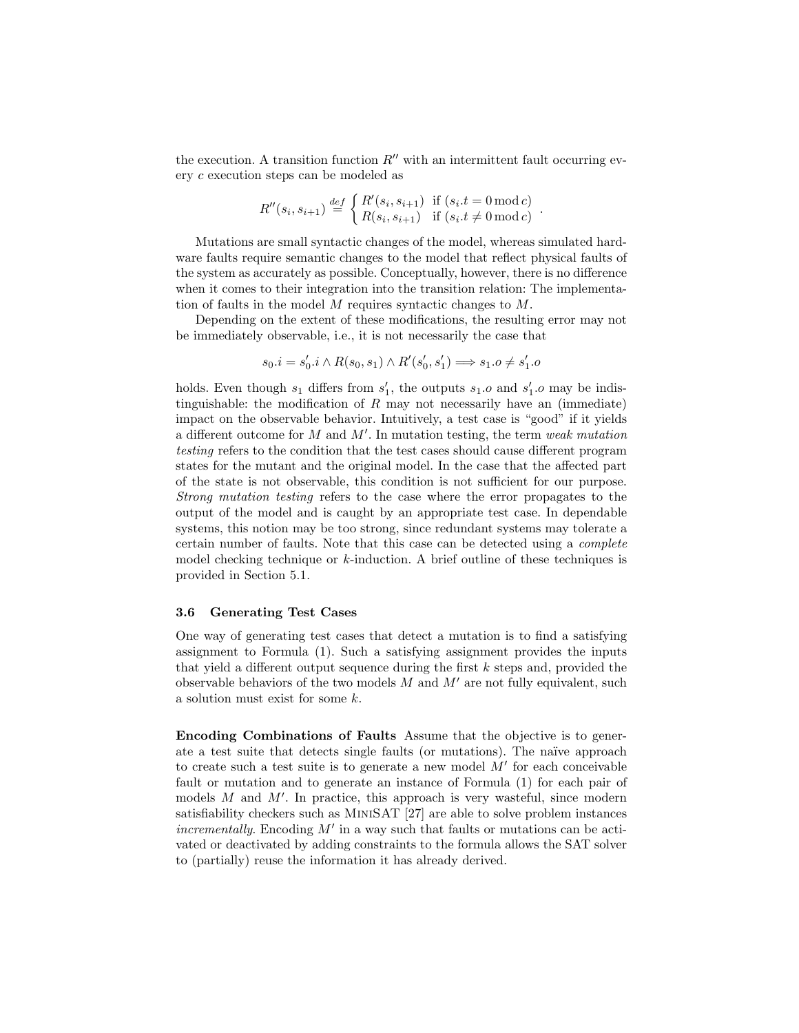the execution. A transition function  $R''$  with an intermittent fault occurring every c execution steps can be modeled as

$$
R''(s_i, s_{i+1}) \stackrel{def}{=} \begin{cases} R'(s_i, s_{i+1}) & \text{if } (s_i.t = 0 \mod c) \\ R(s_i, s_{i+1}) & \text{if } (s_i.t \neq 0 \mod c) \end{cases}
$$

.

Mutations are small syntactic changes of the model, whereas simulated hardware faults require semantic changes to the model that reflect physical faults of the system as accurately as possible. Conceptually, however, there is no difference when it comes to their integration into the transition relation: The implementation of faults in the model M requires syntactic changes to M.

Depending on the extent of these modifications, the resulting error may not be immediately observable, i.e., it is not necessarily the case that

$$
s_0.i = s'_0.i \land R(s_0, s_1) \land R'(s'_0, s'_1) \Longrightarrow s_1.o \neq s'_1.o
$$

holds. Even though  $s_1$  differs from  $s'_1$ , the outputs  $s_1.o$  and  $s'_1.o$  may be indistinguishable: the modification of  $R$  may not necessarily have an (immediate) impact on the observable behavior. Intuitively, a test case is "good" if it yields a different outcome for  $M$  and  $M'$ . In mutation testing, the term weak mutation testing refers to the condition that the test cases should cause different program states for the mutant and the original model. In the case that the affected part of the state is not observable, this condition is not sufficient for our purpose. Strong mutation testing refers to the case where the error propagates to the output of the model and is caught by an appropriate test case. In dependable systems, this notion may be too strong, since redundant systems may tolerate a certain number of faults. Note that this case can be detected using a complete model checking technique or  $k$ -induction. A brief outline of these techniques is provided in Section 5.1.

#### 3.6 Generating Test Cases

One way of generating test cases that detect a mutation is to find a satisfying assignment to Formula (1). Such a satisfying assignment provides the inputs that yield a different output sequence during the first k steps and, provided the observable behaviors of the two models  $M$  and  $M'$  are not fully equivalent, such a solution must exist for some k.

Encoding Combinations of Faults Assume that the objective is to generate a test suite that detects single faults (or mutations). The naïve approach to create such a test suite is to generate a new model  $M'$  for each conceivable fault or mutation and to generate an instance of Formula (1) for each pair of models  $M$  and  $M'$ . In practice, this approach is very wasteful, since modern satisfiability checkers such as MiniSAT [27] are able to solve problem instances incrementally. Encoding  $M'$  in a way such that faults or mutations can be activated or deactivated by adding constraints to the formula allows the SAT solver to (partially) reuse the information it has already derived.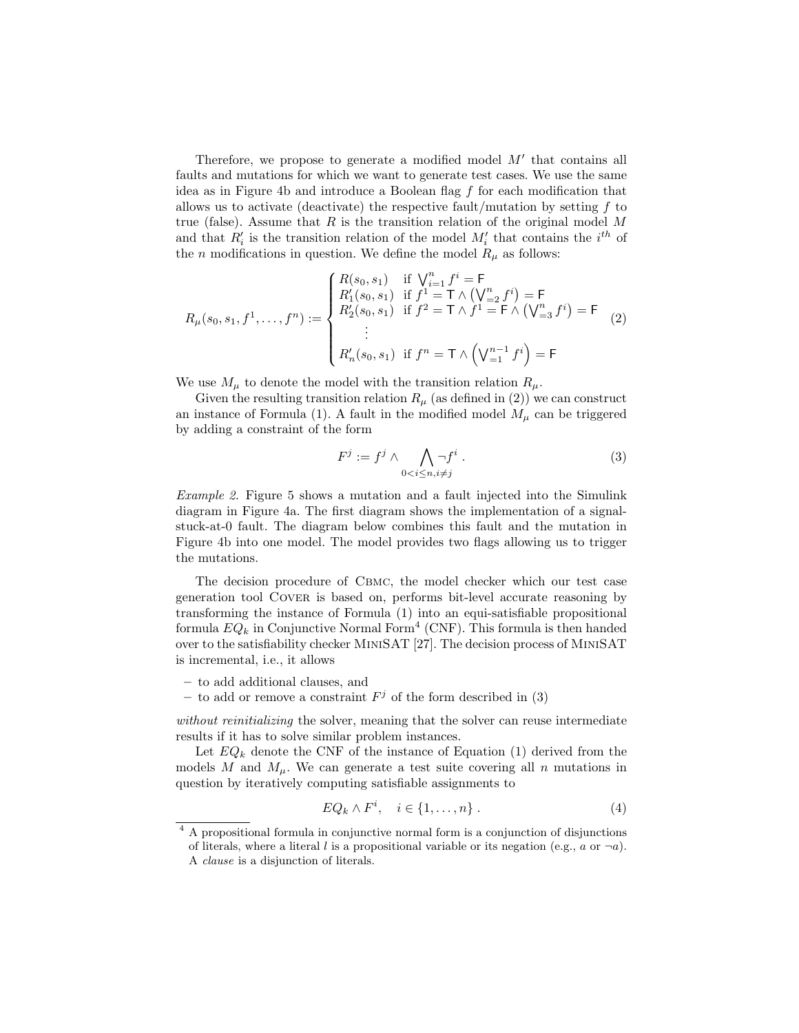Therefore, we propose to generate a modified model  $M'$  that contains all faults and mutations for which we want to generate test cases. We use the same idea as in Figure 4b and introduce a Boolean flag f for each modification that allows us to activate (deactivate) the respective fault/mutation by setting  $f$  to true (false). Assume that  $R$  is the transition relation of the original model  $M$ and that  $R'_i$  is the transition relation of the model  $M'_i$  that contains the  $i^{th}$  of the *n* modifications in question. We define the model  $R_{\mu}$  as follows:

$$
R_{\mu}(s_0, s_1, f^1, \dots, f^n) := \begin{cases} R(s_0, s_1) & \text{if } \bigvee_{i=1}^n f^i = \mathsf{F} \\ R'_1(s_0, s_1) & \text{if } f^1 = \mathsf{T} \wedge \left( \bigvee_{i=2}^n f^i \right) = \mathsf{F} \\ R'_2(s_0, s_1) & \text{if } f^2 = \mathsf{T} \wedge f^1 = \mathsf{F} \wedge \left( \bigvee_{i=3}^n f^i \right) = \mathsf{F} \\ \vdots \\ R'_n(s_0, s_1) & \text{if } f^n = \mathsf{T} \wedge \left( \bigvee_{i=1}^{n-1} f^i \right) = \mathsf{F} \end{cases} \tag{2}
$$

We use  $M_{\mu}$  to denote the model with the transition relation  $R_{\mu}$ .

Given the resulting transition relation  $R_{\mu}$  (as defined in (2)) we can construct an instance of Formula (1). A fault in the modified model  $M_{\mu}$  can be triggered by adding a constraint of the form

$$
F^j := f^j \wedge \bigwedge_{0 < i \le n, i \ne j} f^i \,. \tag{3}
$$

Example 2. Figure 5 shows a mutation and a fault injected into the Simulink diagram in Figure 4a. The first diagram shows the implementation of a signalstuck-at-0 fault. The diagram below combines this fault and the mutation in Figure 4b into one model. The model provides two flags allowing us to trigger the mutations.

The decision procedure of Cbmc, the model checker which our test case generation tool Cover is based on, performs bit-level accurate reasoning by transforming the instance of Formula (1) into an equi-satisfiable propositional formula  $EQ_k$  in Conjunctive Normal Form<sup>4</sup> (CNF). This formula is then handed over to the satisfiability checker MiniSAT [27]. The decision process of MiniSAT is incremental, i.e., it allows

- to add additional clauses, and
- to add or remove a constraint  $F^j$  of the form described in (3)

without reinitializing the solver, meaning that the solver can reuse intermediate results if it has to solve similar problem instances.

Let  $EQ_k$  denote the CNF of the instance of Equation (1) derived from the models M and  $M_{\mu}$ . We can generate a test suite covering all n mutations in question by iteratively computing satisfiable assignments to

$$
EQ_k \wedge F^i, \quad i \in \{1, \dots, n\} \,. \tag{4}
$$

<sup>4</sup> A propositional formula in conjunctive normal form is a conjunction of disjunctions of literals, where a literal l is a propositional variable or its negation (e.g.,  $a$  or  $\neg a$ ). A clause is a disjunction of literals.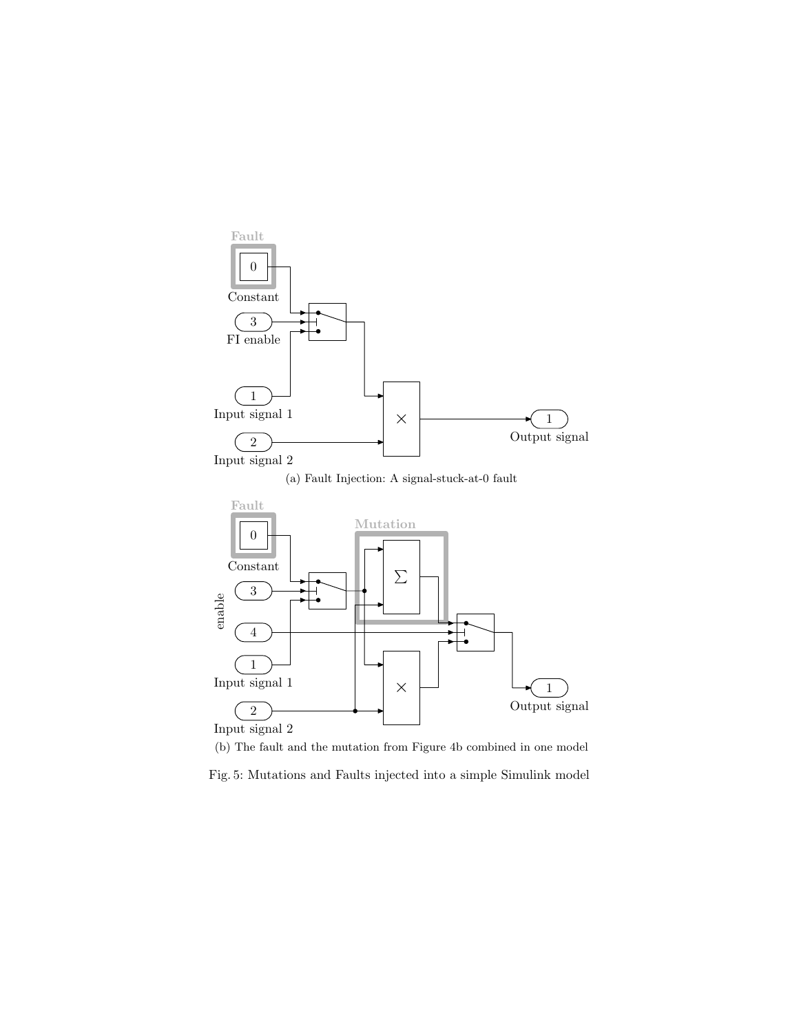

(b) The fault and the mutation from Figure 4b combined in one model

Fig. 5: Mutations and Faults injected into a simple Simulink model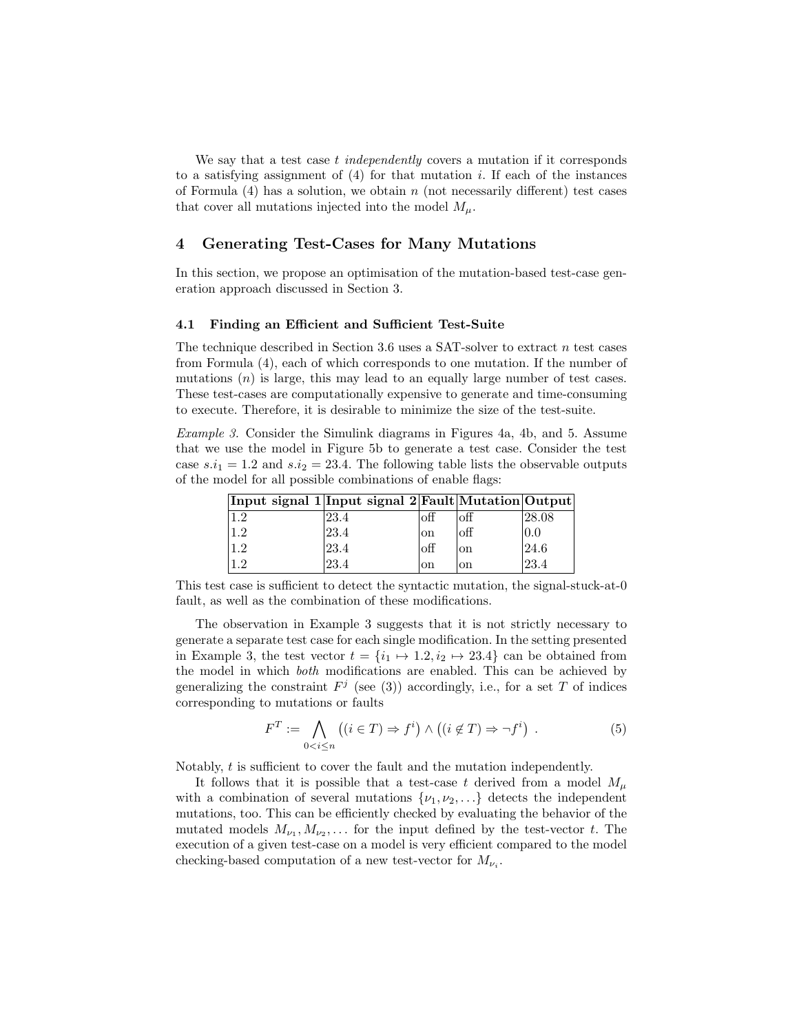We say that a test case t *independently* covers a mutation if it corresponds to a satisfying assignment of  $(4)$  for that mutation i. If each of the instances of Formula  $(4)$  has a solution, we obtain n (not necessarily different) test cases that cover all mutations injected into the model  $M_{\mu}$ .

# 4 Generating Test-Cases for Many Mutations

In this section, we propose an optimisation of the mutation-based test-case generation approach discussed in Section 3.

### 4.1 Finding an Efficient and Sufficient Test-Suite

The technique described in Section 3.6 uses a SAT-solver to extract  $n$  test cases from Formula (4), each of which corresponds to one mutation. If the number of mutations  $(n)$  is large, this may lead to an equally large number of test cases. These test-cases are computationally expensive to generate and time-consuming to execute. Therefore, it is desirable to minimize the size of the test-suite.

Example 3. Consider the Simulink diagrams in Figures 4a, 4b, and 5. Assume that we use the model in Figure 5b to generate a test case. Consider the test case  $s.i<sub>1</sub> = 1.2$  and  $s.i<sub>2</sub> = 23.4$ . The following table lists the observable outputs of the model for all possible combinations of enable flags:

| Input signal 1 Input signal 2 Fault Mutation Output |      |               |               |       |
|-----------------------------------------------------|------|---------------|---------------|-------|
| 1.2                                                 | 23.4 | off           | off           | 28.08 |
| 1.2                                                 | 23.4 | <sub>on</sub> | $\alpha$      | 0.0   |
| 1.2                                                 | 23.4 | $\alpha$      | lon           | 24.6  |
| 1 ດ                                                 | 23.4 | οn            | <sub>on</sub> | 23.4  |

This test case is sufficient to detect the syntactic mutation, the signal-stuck-at-0 fault, as well as the combination of these modifications.

The observation in Example 3 suggests that it is not strictly necessary to generate a separate test case for each single modification. In the setting presented in Example 3, the test vector  $t = \{i_1 \mapsto 1.2, i_2 \mapsto 23.4\}$  can be obtained from the model in which both modifications are enabled. This can be achieved by generalizing the constraint  $F^j$  (see (3)) accordingly, i.e., for a set T of indices corresponding to mutations or faults

$$
F^T := \bigwedge_{0 < i \le n} \left( (i \in T) \Rightarrow f^i \right) \land \left( (i \notin T) \Rightarrow \neg f^i \right) . \tag{5}
$$

Notably, t is sufficient to cover the fault and the mutation independently.

It follows that it is possible that a test-case t derived from a model  $M_{\mu}$ with a combination of several mutations  $\{\nu_1, \nu_2, \ldots\}$  detects the independent mutations, too. This can be efficiently checked by evaluating the behavior of the mutated models  $M_{\nu_1}, M_{\nu_2}, \ldots$  for the input defined by the test-vector t. The execution of a given test-case on a model is very efficient compared to the model checking-based computation of a new test-vector for  $M_{\nu_i}$ .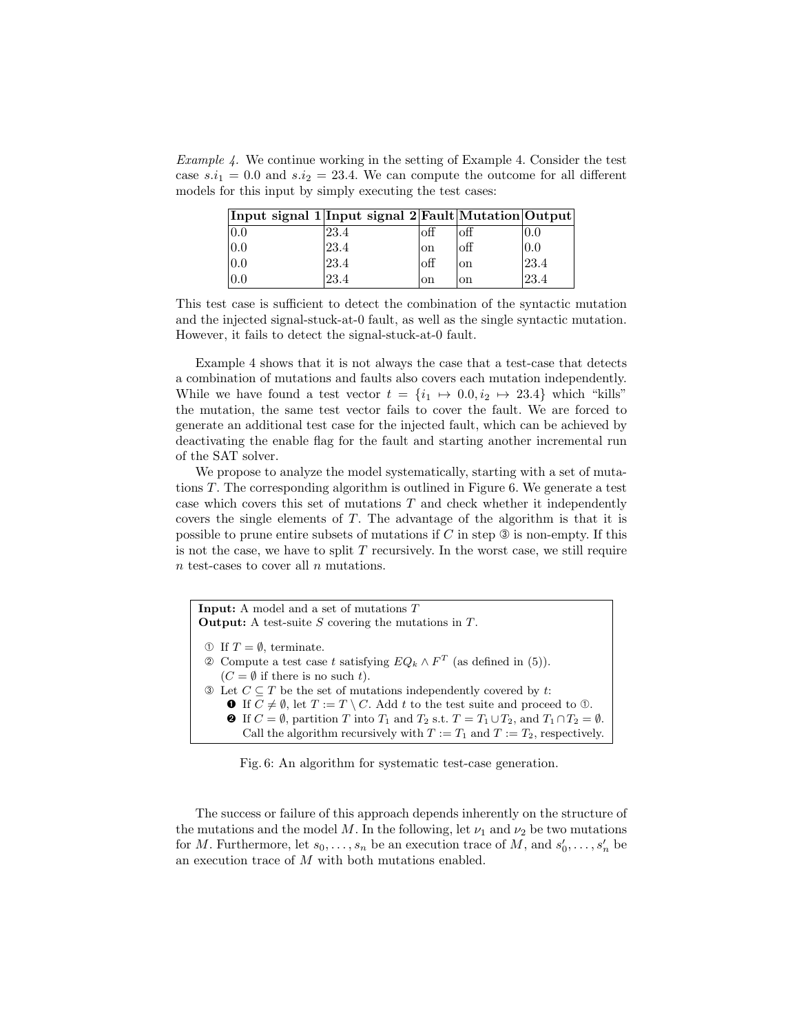Example 4. We continue working in the setting of Example 4. Consider the test case  $s.i_1 = 0.0$  and  $s.i_2 = 23.4$ . We can compute the outcome for all different models for this input by simply executing the test cases:

|     | Input signal 1 Input signal 2 Fault Mutation Output |               |      |               |
|-----|-----------------------------------------------------|---------------|------|---------------|
| 0.0 | 23.4                                                | оff           | off  |               |
| 0.0 | 123.4                                               | <sub>on</sub> | off  | $0.0^{\circ}$ |
| 0.0 | 23.4                                                | $\alpha$      | lon  | 23.4          |
| 0.0 | 23.4                                                | <sub>on</sub> | lon. | 23.4          |

This test case is sufficient to detect the combination of the syntactic mutation and the injected signal-stuck-at-0 fault, as well as the single syntactic mutation. However, it fails to detect the signal-stuck-at-0 fault.

Example 4 shows that it is not always the case that a test-case that detects a combination of mutations and faults also covers each mutation independently. While we have found a test vector  $t = \{i_1 \mapsto 0.0, i_2 \mapsto 23.4\}$  which "kills" the mutation, the same test vector fails to cover the fault. We are forced to generate an additional test case for the injected fault, which can be achieved by deactivating the enable flag for the fault and starting another incremental run of the SAT solver.

We propose to analyze the model systematically, starting with a set of mutations T. The corresponding algorithm is outlined in Figure 6. We generate a test case which covers this set of mutations  $T$  and check whether it independently covers the single elements of  $T$ . The advantage of the algorithm is that it is possible to prune entire subsets of mutations if  $C$  in step  $\mathcal D$  is non-empty. If this is not the case, we have to split  $T$  recursively. In the worst case, we still require  $n$  test-cases to cover all  $n$  mutations.

| <b>Input:</b> A model and a set of mutations T                                                                                                                                                                                                                                                                                                                                                                                                                                                                                                                                                     |  |  |  |  |
|----------------------------------------------------------------------------------------------------------------------------------------------------------------------------------------------------------------------------------------------------------------------------------------------------------------------------------------------------------------------------------------------------------------------------------------------------------------------------------------------------------------------------------------------------------------------------------------------------|--|--|--|--|
| <b>Output:</b> A test-suite S covering the mutations in $T$ .                                                                                                                                                                                                                                                                                                                                                                                                                                                                                                                                      |  |  |  |  |
| $\mathcal{D}$ If $T = \emptyset$ , terminate.<br>2 Compute a test case t satisfying $EQ_k \wedge F^T$ (as defined in (5)).<br>$(C = \emptyset$ if there is no such t).<br>$\mathcal{F}$ Let $C \subseteq T$ be the set of mutations independently covered by t:<br><b>O</b> If $C \neq \emptyset$ , let $T := T \setminus C$ . Add t to the test suite and proceed to $\mathbb{O}$ .<br><b>2</b> If $C = \emptyset$ , partition T into $T_1$ and $T_2$ s.t. $T = T_1 \cup T_2$ , and $T_1 \cap T_2 = \emptyset$ .<br>Call the algorithm recursively with $T := T_1$ and $T := T_2$ , respectively. |  |  |  |  |
|                                                                                                                                                                                                                                                                                                                                                                                                                                                                                                                                                                                                    |  |  |  |  |

Fig. 6: An algorithm for systematic test-case generation.

The success or failure of this approach depends inherently on the structure of the mutations and the model M. In the following, let  $\nu_1$  and  $\nu_2$  be two mutations for M. Furthermore, let  $s_0, \ldots, s_n$  be an execution trace of M, and  $s'_0, \ldots, s'_n$  be an execution trace of M with both mutations enabled.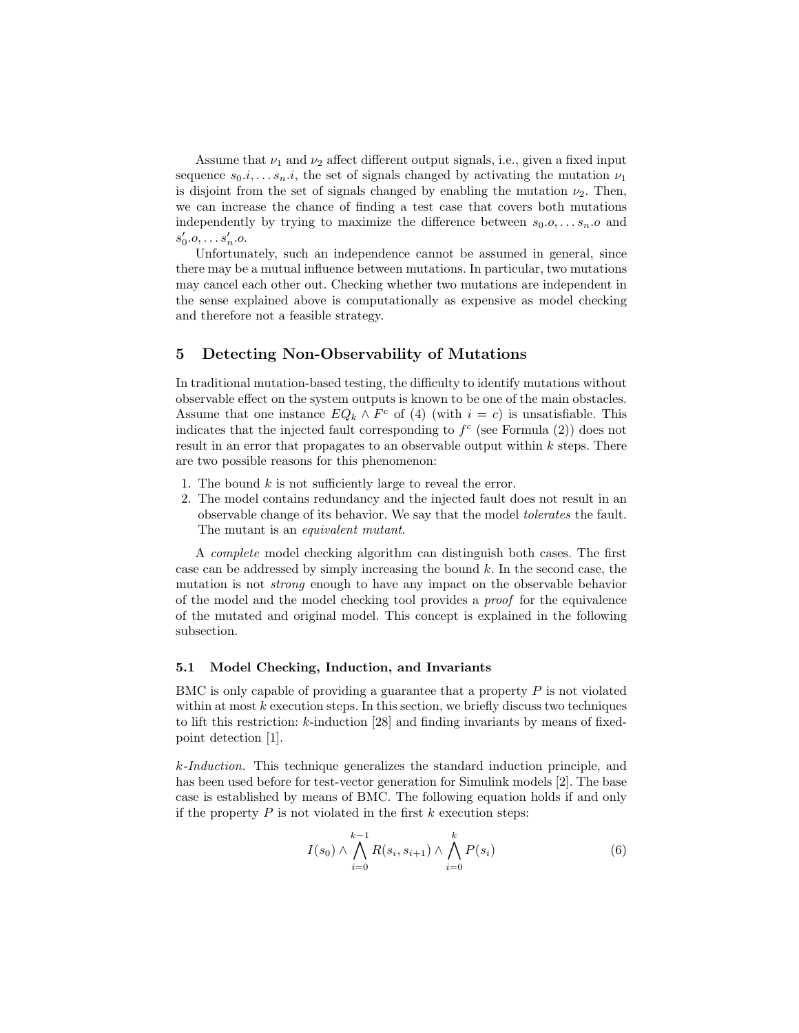Assume that  $\nu_1$  and  $\nu_2$  affect different output signals, i.e., given a fixed input sequence  $s_0$ .*i*, ...  $s_n$ .*i*, the set of signals changed by activating the mutation  $\nu_1$ is disjoint from the set of signals changed by enabling the mutation  $\nu_2$ . Then, we can increase the chance of finding a test case that covers both mutations independently by trying to maximize the difference between  $s_0 \ldots s_n \ldots$  and  $s'_0.0, \ldots s'_n.0.$ 

Unfortunately, such an independence cannot be assumed in general, since there may be a mutual influence between mutations. In particular, two mutations may cancel each other out. Checking whether two mutations are independent in the sense explained above is computationally as expensive as model checking and therefore not a feasible strategy.

# 5 Detecting Non-Observability of Mutations

In traditional mutation-based testing, the difficulty to identify mutations without observable effect on the system outputs is known to be one of the main obstacles. Assume that one instance  $EQ_k \wedge F^c$  of (4) (with  $i = c$ ) is unsatisfiable. This indicates that the injected fault corresponding to  $f^c$  (see Formula (2)) does not result in an error that propagates to an observable output within  $k$  steps. There are two possible reasons for this phenomenon:

- 1. The bound k is not sufficiently large to reveal the error.
- 2. The model contains redundancy and the injected fault does not result in an observable change of its behavior. We say that the model tolerates the fault. The mutant is an *equivalent mutant*.

A complete model checking algorithm can distinguish both cases. The first case can be addressed by simply increasing the bound  $k$ . In the second case, the mutation is not strong enough to have any impact on the observable behavior of the model and the model checking tool provides a proof for the equivalence of the mutated and original model. This concept is explained in the following subsection.

### 5.1 Model Checking, Induction, and Invariants

BMC is only capable of providing a guarantee that a property P is not violated within at most  $k$  execution steps. In this section, we briefly discuss two techniques to lift this restriction: k-induction [28] and finding invariants by means of fixedpoint detection [1].

k-Induction. This technique generalizes the standard induction principle, and has been used before for test-vector generation for Simulink models [2]. The base case is established by means of BMC. The following equation holds if and only if the property  $P$  is not violated in the first  $k$  execution steps:

$$
I(s_0) \wedge \bigwedge_{i=0}^{k-1} R(s_i, s_{i+1}) \wedge \bigwedge_{i=0}^{k} P(s_i)
$$
 (6)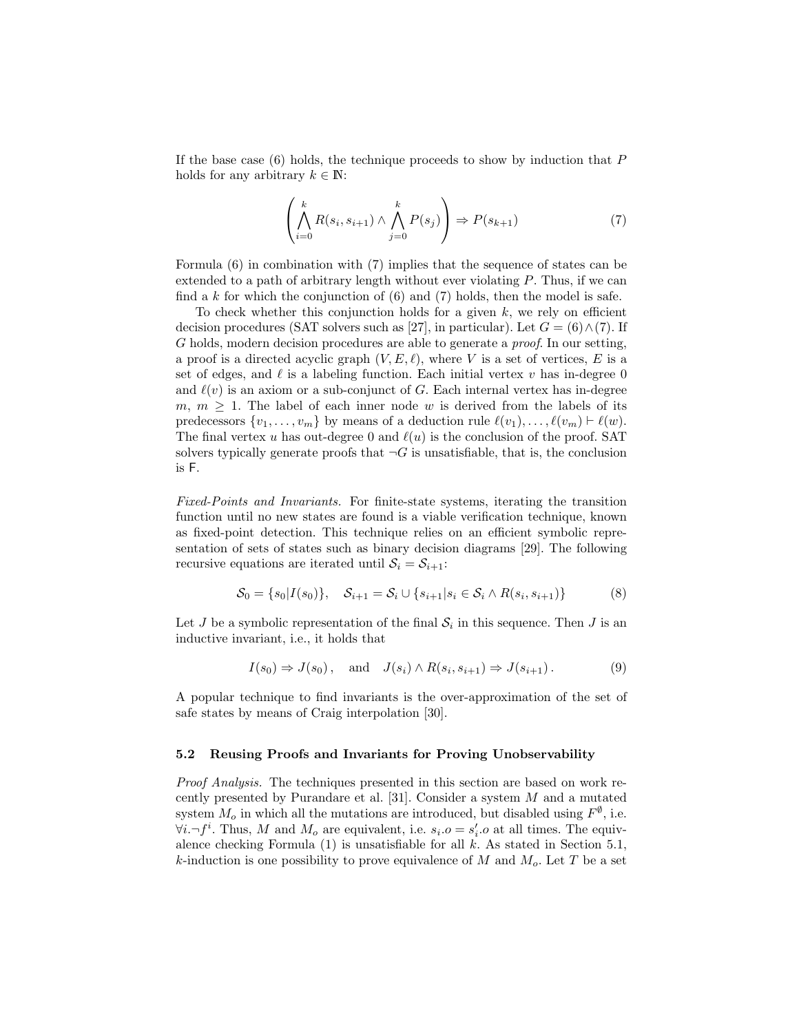If the base case  $(6)$  holds, the technique proceeds to show by induction that P holds for any arbitrary  $k \in \mathbb{N}$ :

$$
\left(\bigwedge_{i=0}^{k} R(s_i, s_{i+1}) \land \bigwedge_{j=0}^{k} P(s_j)\right) \Rightarrow P(s_{k+1})\tag{7}
$$

Formula (6) in combination with (7) implies that the sequence of states can be extended to a path of arbitrary length without ever violating  $P$ . Thus, if we can find a k for which the conjunction of  $(6)$  and  $(7)$  holds, then the model is safe.

To check whether this conjunction holds for a given  $k$ , we rely on efficient decision procedures (SAT solvers such as [27], in particular). Let  $G = (6) \wedge (7)$ . If G holds, modern decision procedures are able to generate a proof. In our setting, a proof is a directed acyclic graph  $(V, E, \ell)$ , where V is a set of vertices, E is a set of edges, and  $\ell$  is a labeling function. Each initial vertex v has in-degree 0 and  $\ell(v)$  is an axiom or a sub-conjunct of G. Each internal vertex has in-degree m,  $m > 1$ . The label of each inner node w is derived from the labels of its predecessors  $\{v_1, \ldots, v_m\}$  by means of a deduction rule  $\ell(v_1), \ldots, \ell(v_m) \vdash \ell(w)$ . The final vertex u has out-degree 0 and  $\ell(u)$  is the conclusion of the proof. SAT solvers typically generate proofs that  $\neg G$  is unsatisfiable, that is, the conclusion is F.

Fixed-Points and Invariants. For finite-state systems, iterating the transition function until no new states are found is a viable verification technique, known as fixed-point detection. This technique relies on an efficient symbolic representation of sets of states such as binary decision diagrams [29]. The following recursive equations are iterated until  $S_i = S_{i+1}$ :

$$
S_0 = \{s_0 | I(s_0)\}, \quad S_{i+1} = S_i \cup \{s_{i+1} | s_i \in S_i \land R(s_i, s_{i+1})\}
$$
(8)

Let J be a symbolic representation of the final  $S_i$  in this sequence. Then J is an inductive invariant, i.e., it holds that

$$
I(s_0) \Rightarrow J(s_0), \quad \text{and} \quad J(s_i) \wedge R(s_i, s_{i+1}) \Rightarrow J(s_{i+1}). \tag{9}
$$

A popular technique to find invariants is the over-approximation of the set of safe states by means of Craig interpolation [30].

### 5.2 Reusing Proofs and Invariants for Proving Unobservability

Proof Analysis. The techniques presented in this section are based on work recently presented by Purandare et al. [31]. Consider a system M and a mutated system  $M_o$  in which all the mutations are introduced, but disabled using  $F^{\emptyset}$ , i.e.  $\forall i. \neg f^i$ . Thus, M and  $M_o$  are equivalent, i.e.  $s_i.o = s'_i.o$  at all times. The equivalence checking Formula  $(1)$  is unsatisfiable for all k. As stated in Section 5.1, k-induction is one possibility to prove equivalence of M and  $M<sub>o</sub>$ . Let T be a set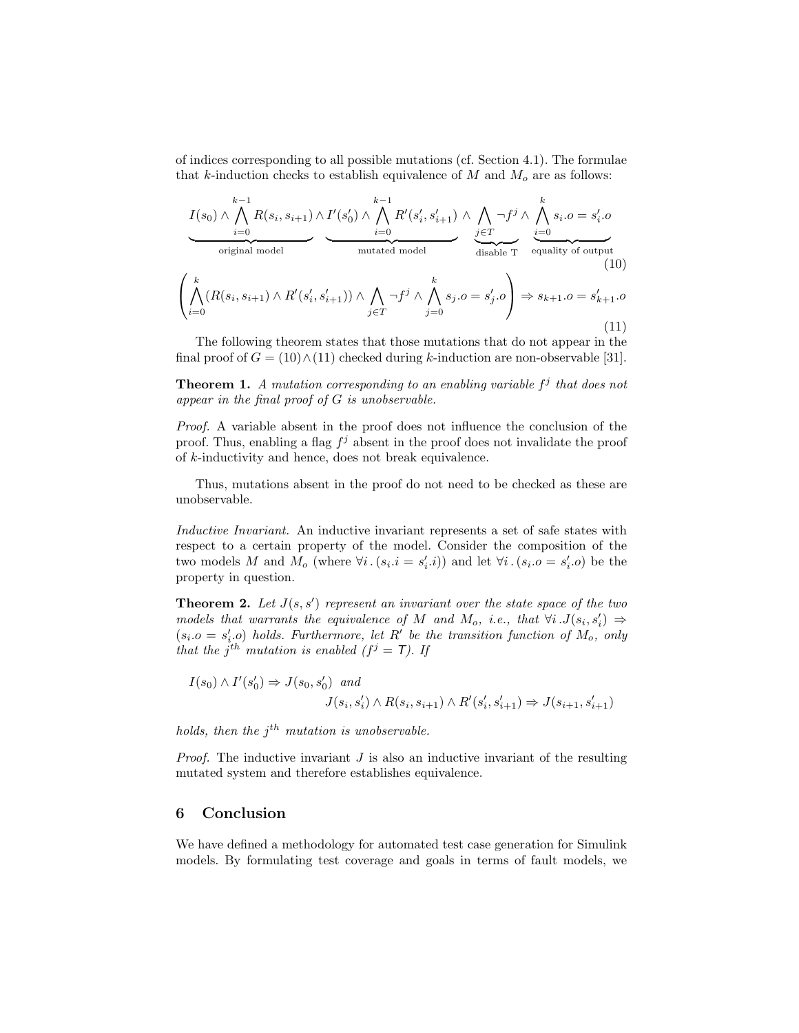of indices corresponding to all possible mutations (cf. Section 4.1). The formulae that k-induction checks to establish equivalence of  $M$  and  $M<sub>o</sub>$  are as follows:

$$
I(s_0) \land \bigwedge_{i=0}^{k-1} R(s_i, s_{i+1}) \land I'(s'_0) \land \bigwedge_{i=0}^{k-1} R'(s'_i, s'_{i+1}) \land \bigwedge_{j \in T} \neg f^j \land \bigwedge_{i=0}^k s_i.o = s'_i.o
$$
  
original model  

$$
\left( \bigwedge_{i=0}^k (R(s_i, s_{i+1}) \land R'(s'_i, s'_{i+1})) \land \bigwedge_{j \in T} \neg f^j \land \bigwedge_{j=0}^k s_j.o = s'_j.o \right) \Rightarrow s_{k+1.o} = s'_{k+1.o}
$$

$$
(10)
$$
(11)

The following theorem states that those mutations that do not appear in the final proof of  $G = (10) \wedge (11)$  checked during k-induction are non-observable [31].

**Theorem 1.** A mutation corresponding to an enabling variable  $f^j$  that does not appear in the final proof of G is unobservable.

Proof. A variable absent in the proof does not influence the conclusion of the proof. Thus, enabling a flag  $f^j$  absent in the proof does not invalidate the proof of k-inductivity and hence, does not break equivalence.

Thus, mutations absent in the proof do not need to be checked as these are unobservable.

Inductive Invariant. An inductive invariant represents a set of safe states with respect to a certain property of the model. Consider the composition of the two models M and  $M_o$  (where  $\forall i$   $(s_i \cdot i = s'_i \cdot i)$ ) and let  $\forall i$   $(s_i \cdot o = s'_i \cdot o)$  be the property in question.

**Theorem 2.** Let  $J(s, s')$  represent an invariant over the state space of the two models that warrants the equivalence of M and  $M_o$ , i.e., that  $\forall i . J(s_i, s'_i) \Rightarrow$  $(s_i.o = s'_i.o)$  holds. Furthermore, let R' be the transition function of  $M_o$ , only that the j<sup>th</sup> mutation is enabled ( $f^j = T$ ). If

$$
I(s_0) \wedge I'(s'_0) \Rightarrow J(s_0, s'_0) \text{ and}
$$
  

$$
J(s_i, s'_i) \wedge R(s_i, s_{i+1}) \wedge R'(s'_i, s'_{i+1}) \Rightarrow J(s_{i+1}, s'_{i+1})
$$

holds, then the  $j<sup>th</sup>$  mutation is unobservable.

*Proof.* The inductive invariant  $J$  is also an inductive invariant of the resulting mutated system and therefore establishes equivalence.

# 6 Conclusion

We have defined a methodology for automated test case generation for Simulink models. By formulating test coverage and goals in terms of fault models, we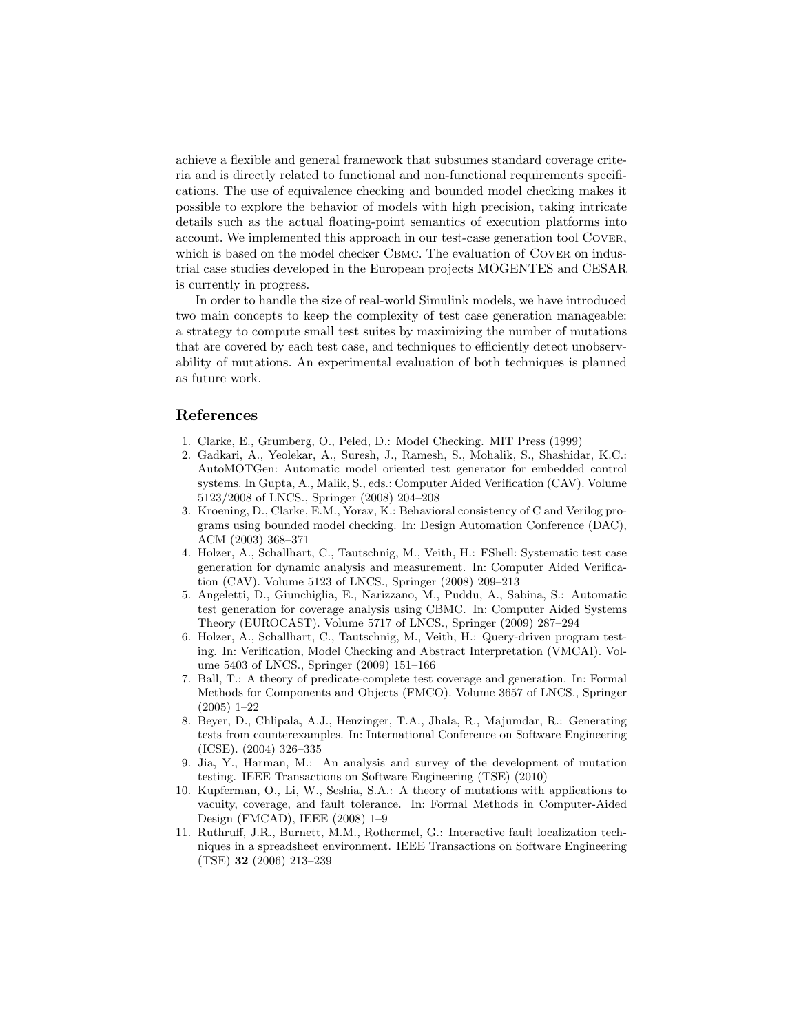achieve a flexible and general framework that subsumes standard coverage criteria and is directly related to functional and non-functional requirements specifications. The use of equivalence checking and bounded model checking makes it possible to explore the behavior of models with high precision, taking intricate details such as the actual floating-point semantics of execution platforms into account. We implemented this approach in our test-case generation tool Cover, which is based on the model checker CBMC. The evaluation of COVER on industrial case studies developed in the European projects MOGENTES and CESAR is currently in progress.

In order to handle the size of real-world Simulink models, we have introduced two main concepts to keep the complexity of test case generation manageable: a strategy to compute small test suites by maximizing the number of mutations that are covered by each test case, and techniques to efficiently detect unobservability of mutations. An experimental evaluation of both techniques is planned as future work.

# References

- 1. Clarke, E., Grumberg, O., Peled, D.: Model Checking. MIT Press (1999)
- 2. Gadkari, A., Yeolekar, A., Suresh, J., Ramesh, S., Mohalik, S., Shashidar, K.C.: AutoMOTGen: Automatic model oriented test generator for embedded control systems. In Gupta, A., Malik, S., eds.: Computer Aided Verification (CAV). Volume 5123/2008 of LNCS., Springer (2008) 204–208
- 3. Kroening, D., Clarke, E.M., Yorav, K.: Behavioral consistency of C and Verilog programs using bounded model checking. In: Design Automation Conference (DAC), ACM (2003) 368–371
- 4. Holzer, A., Schallhart, C., Tautschnig, M., Veith, H.: FShell: Systematic test case generation for dynamic analysis and measurement. In: Computer Aided Verification (CAV). Volume 5123 of LNCS., Springer (2008) 209–213
- 5. Angeletti, D., Giunchiglia, E., Narizzano, M., Puddu, A., Sabina, S.: Automatic test generation for coverage analysis using CBMC. In: Computer Aided Systems Theory (EUROCAST). Volume 5717 of LNCS., Springer (2009) 287–294
- 6. Holzer, A., Schallhart, C., Tautschnig, M., Veith, H.: Query-driven program testing. In: Verification, Model Checking and Abstract Interpretation (VMCAI). Volume 5403 of LNCS., Springer (2009) 151–166
- 7. Ball, T.: A theory of predicate-complete test coverage and generation. In: Formal Methods for Components and Objects (FMCO). Volume 3657 of LNCS., Springer (2005) 1–22
- 8. Beyer, D., Chlipala, A.J., Henzinger, T.A., Jhala, R., Majumdar, R.: Generating tests from counterexamples. In: International Conference on Software Engineering (ICSE). (2004) 326–335
- 9. Jia, Y., Harman, M.: An analysis and survey of the development of mutation testing. IEEE Transactions on Software Engineering (TSE) (2010)
- 10. Kupferman, O., Li, W., Seshia, S.A.: A theory of mutations with applications to vacuity, coverage, and fault tolerance. In: Formal Methods in Computer-Aided Design (FMCAD), IEEE (2008) 1–9
- 11. Ruthruff, J.R., Burnett, M.M., Rothermel, G.: Interactive fault localization techniques in a spreadsheet environment. IEEE Transactions on Software Engineering (TSE) 32 (2006) 213–239